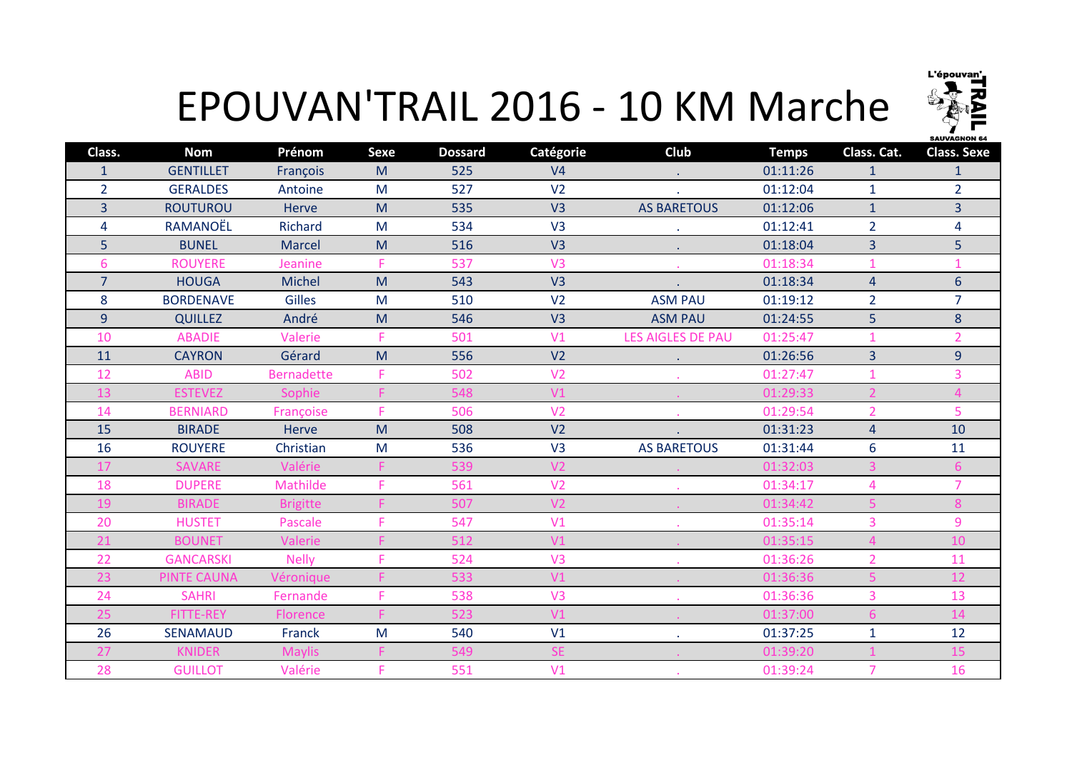

## EPOUVAN'TRAIL 2016 - 10 KM Marche

| Class.         | <b>Nom</b>         | Prénom            | <b>Sexe</b> | <b>Dossard</b> | Catégorie      | Club               | <b>Temps</b> | Class. Cat.    | <b>Class. Sexe</b> |
|----------------|--------------------|-------------------|-------------|----------------|----------------|--------------------|--------------|----------------|--------------------|
| $\mathbf{1}$   | <b>GENTILLET</b>   | François          | M           | 525            | V <sub>4</sub> |                    | 01:11:26     | $\mathbf{1}$   | 1                  |
| $\overline{2}$ | <b>GERALDES</b>    | Antoine           | M           | 527            | V <sub>2</sub> |                    | 01:12:04     | $\mathbf{1}$   | $\overline{2}$     |
| 3              | <b>ROUTUROU</b>    | Herve             | M           | 535            | V <sub>3</sub> | <b>AS BARETOUS</b> | 01:12:06     | $\mathbf{1}$   | $\overline{3}$     |
| 4              | RAMANOËL           | Richard           | M           | 534            | V <sub>3</sub> |                    | 01:12:41     | $\overline{2}$ | $\overline{4}$     |
| 5              | <b>BUNEL</b>       | <b>Marcel</b>     | M           | 516            | V <sub>3</sub> | $\sim$             | 01:18:04     | $\overline{3}$ | 5                  |
| 6              | <b>ROUYERE</b>     | Jeanine           | F           | 537            | V <sub>3</sub> |                    | 01:18:34     | $\mathbf{1}$   | 1                  |
| $\overline{7}$ | <b>HOUGA</b>       | <b>Michel</b>     | M           | 543            | V <sub>3</sub> |                    | 01:18:34     | $\overline{4}$ | $6\phantom{a}$     |
| 8              | <b>BORDENAVE</b>   | Gilles            | M           | 510            | V <sub>2</sub> | <b>ASM PAU</b>     | 01:19:12     | $\overline{2}$ | 7                  |
| $\overline{9}$ | <b>QUILLEZ</b>     | André             | M           | 546            | V <sub>3</sub> | <b>ASM PAU</b>     | 01:24:55     | 5 <sup>1</sup> | 8                  |
| 10             | <b>ABADIE</b>      | Valerie           | F           | 501            | V1             | LES AIGLES DE PAU  | 01:25:47     | $\overline{1}$ | $\overline{2}$     |
| 11             | <b>CAYRON</b>      | Gérard            | M           | 556            | V <sub>2</sub> |                    | 01:26:56     | 3              | 9                  |
| 12             | <b>ABID</b>        | <b>Bernadette</b> | F           | 502            | V <sub>2</sub> |                    | 01:27:47     | $\mathbf{1}$   | 3                  |
| 13             | <b>ESTEVEZ</b>     | Sophie            |             | 548            | V1             |                    | 01:29:33     | $\overline{2}$ | $\overline{4}$     |
| 14             | <b>BERNIARD</b>    | Françoise         | F.          | 506            | V <sub>2</sub> |                    | 01:29:54     | $\overline{2}$ | 5                  |
| 15             | <b>BIRADE</b>      | Herve             | M           | 508            | V <sub>2</sub> |                    | 01:31:23     | $\overline{4}$ | 10                 |
| 16             | <b>ROUYERE</b>     | Christian         | M           | 536            | V <sub>3</sub> | <b>AS BARETOUS</b> | 01:31:44     | 6              | 11                 |
| 17             | <b>SAVARE</b>      | Valérie           |             | 539            | V <sub>2</sub> |                    | 01:32:03     | 3              | 6                  |
| 18             | <b>DUPERE</b>      | Mathilde          |             | 561            | V <sub>2</sub> |                    | 01:34:17     | $\overline{4}$ | $\overline{7}$     |
| 19             | <b>BIRADE</b>      | <b>Brigitte</b>   |             | 507            | V <sub>2</sub> |                    | 01:34:42     |                | 8                  |
| 20             | <b>HUSTET</b>      | Pascale           | F.          | 547            | V1             |                    | 01:35:14     | 3              | 9                  |
| 21             | <b>BOUNET</b>      | Valerie           |             | 512            | V1             |                    | 01:35:15     | $\overline{4}$ | 10                 |
| 22             | <b>GANCARSKI</b>   | <b>Nelly</b>      |             | 524            | V <sub>3</sub> |                    | 01:36:26     | $\overline{2}$ | 11                 |
| 23             | <b>PINTE CAUNA</b> | Véronique         |             | 533            | V1             |                    | 01:36:36     | 5              | 12                 |
| 24             | <b>SAHRI</b>       | Fernande          | F           | 538            | V <sub>3</sub> |                    | 01:36:36     | 3              | 13                 |
| 25             | <b>FITTE-REY</b>   | <b>Florence</b>   |             | 523            | V1             |                    | 01:37:00     | 6              | 14                 |
| 26             | <b>SENAMAUD</b>    | Franck            | M           | 540            | V1             | ٠                  | 01:37:25     | $\mathbf{1}$   | 12                 |
| 27             | <b>KNIDER</b>      | <b>Maylis</b>     |             | 549            | <b>SE</b>      |                    | 01:39:20     |                | 15                 |
| 28             | <b>GUILLOT</b>     | Valérie           | F           | 551            | V1             |                    | 01:39:24     | $\overline{7}$ | 16                 |
|                |                    |                   |             |                |                |                    |              |                |                    |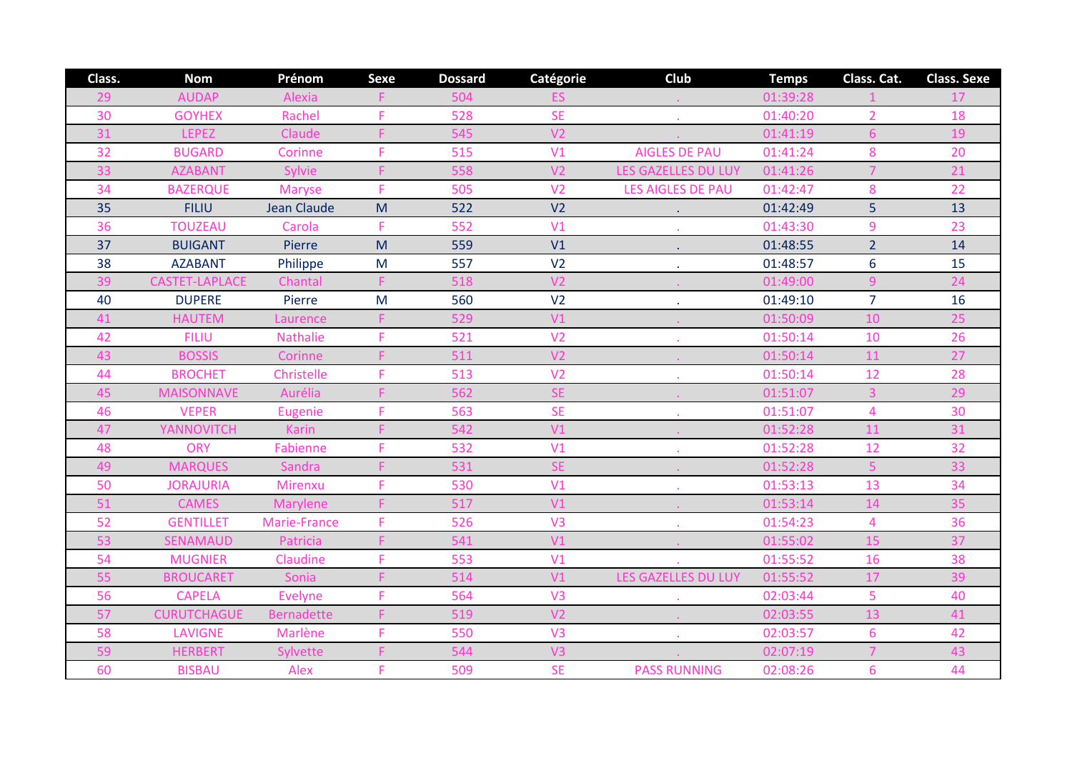| Class. | <b>Nom</b>         | Prénom            | <b>Sexe</b> | <b>Dossard</b> | Catégorie      | Club                       | <b>Temps</b> | Class. Cat.    | <b>Class. Sexe</b> |
|--------|--------------------|-------------------|-------------|----------------|----------------|----------------------------|--------------|----------------|--------------------|
| 29     | <b>AUDAP</b>       | Alexia            |             | 504            |                |                            | 01:39:28     |                | 17                 |
| 30     | <b>GOYHEX</b>      | Rachel            | F           | 528            | <b>SE</b>      |                            | 01:40:20     | $\overline{2}$ | 18                 |
| 31     | <b>LEPEZ</b>       | Claude            |             | 545            | V <sub>2</sub> |                            | 01:41:19     | $6\phantom{1}$ | 19                 |
| 32     | <b>BUGARD</b>      | Corinne           | F           | 515            | V <sub>1</sub> | <b>AIGLES DE PAU</b>       | 01:41:24     | 8              | 20                 |
| 33     | <b>AZABANT</b>     | Sylvie            | F           | 558            | V <sub>2</sub> | <b>LES GAZELLES DU LUY</b> | 01:41:26     | $\overline{7}$ | 21                 |
| 34     | <b>BAZERQUE</b>    | <b>Maryse</b>     | F.          | 505            | V <sub>2</sub> | <b>LES AIGLES DE PAU</b>   | 01:42:47     | 8              | 22                 |
| 35     | <b>FILIU</b>       | Jean Claude       | M           | 522            | V <sub>2</sub> | $\mathcal{L}^{\pm}$        | 01:42:49     | $\overline{5}$ | 13                 |
| 36     | <b>TOUZEAU</b>     | Carola            | F.          | 552            | V <sub>1</sub> |                            | 01:43:30     | 9              | 23                 |
| 37     | <b>BUIGANT</b>     | Pierre            | M           | 559            | V1             | $\bullet$                  | 01:48:55     | $\overline{2}$ | 14                 |
| 38     | <b>AZABANT</b>     | Philippe          | ${\sf M}$   | 557            | V <sub>2</sub> |                            | 01:48:57     | $6\phantom{1}$ | 15                 |
| 39     | CASTET-LAPLACE     | Chantal           | F.          | 518            | V <sub>2</sub> |                            | 01:49:00     | $\overline{9}$ | 24                 |
| 40     | <b>DUPERE</b>      | Pierre            | M           | 560            | V <sub>2</sub> |                            | 01:49:10     | $\overline{7}$ | 16                 |
| 41     | <b>HAUTEM</b>      | Laurence          | F           | 529            | V1             |                            | 01:50:09     | 10             | 25                 |
| 42     | <b>FILIU</b>       | <b>Nathalie</b>   | F.          | 521            | V <sub>2</sub> |                            | 01:50:14     | 10             | 26                 |
| 43     | <b>BOSSIS</b>      | Corinne           |             | 511            | V <sub>2</sub> |                            | 01:50:14     | 11             | 27                 |
| 44     | <b>BROCHET</b>     | Christelle        | F           | 513            | V <sub>2</sub> |                            | 01:50:14     | 12             | 28                 |
| 45     | <b>MAISONNAVE</b>  | Aurélia           |             | 562            | <b>SE</b>      |                            | 01:51:07     | $\overline{3}$ | 29                 |
| 46     | <b>VEPER</b>       | Eugenie           | F.          | 563            | <b>SE</b>      |                            | 01:51:07     | $\overline{4}$ | 30                 |
| 47     | <b>YANNOVITCH</b>  | <b>Karin</b>      |             | 542            | V1             |                            | 01:52:28     | 11             | 31                 |
| 48     | <b>ORY</b>         | Fabienne          | F.          | 532            | V <sub>1</sub> |                            | 01:52:28     | 12             | 32                 |
| 49     | <b>MARQUES</b>     | Sandra            | F           | 531            | <b>SE</b>      |                            | 01:52:28     | $\overline{5}$ | 33                 |
| 50     | <b>JORAJURIA</b>   | Mirenxu           | F           | 530            | V <sub>1</sub> |                            | 01:53:13     | 13             | 34                 |
| 51     | <b>CAMES</b>       | Marylene          |             | 517            | V1             |                            | 01:53:14     | 14             | 35                 |
| 52     | <b>GENTILLET</b>   | Marie-France      | F.          | 526            | V <sub>3</sub> |                            | 01:54:23     | $\overline{4}$ | 36                 |
| 53     | <b>SENAMAUD</b>    | Patricia          | F           | 541            | V1             |                            | 01:55:02     | 15             | 37                 |
| 54     | <b>MUGNIER</b>     | Claudine          | F.          | 553            | V <sub>1</sub> |                            | 01:55:52     | 16             | 38                 |
| 55     | <b>BROUCARET</b>   | Sonia             |             | 514            | V1             | <b>LES GAZELLES DU LUY</b> | 01:55:52     | 17             | 39                 |
| 56     | <b>CAPELA</b>      | <b>Evelyne</b>    | F           | 564            | V <sub>3</sub> |                            | 02:03:44     | 5              | 40                 |
| 57     | <b>CURUTCHAGUE</b> | <b>Bernadette</b> | F           | 519            | V <sub>2</sub> |                            | 02:03:55     | 13             | 41                 |
| 58     | <b>LAVIGNE</b>     | Marlène           | F           | 550            | V <sub>3</sub> | $\mathcal{L}$              | 02:03:57     | $6\phantom{1}$ | 42                 |
| 59     | <b>HERBERT</b>     | Sylvette          |             | 544            | V <sub>3</sub> |                            | 02:07:19     | $\overline{7}$ | 43                 |
| 60     | <b>BISBAU</b>      | Alex              | F.          | 509            | <b>SE</b>      | <b>PASS RUNNING</b>        | 02:08:26     | 6              | 44                 |